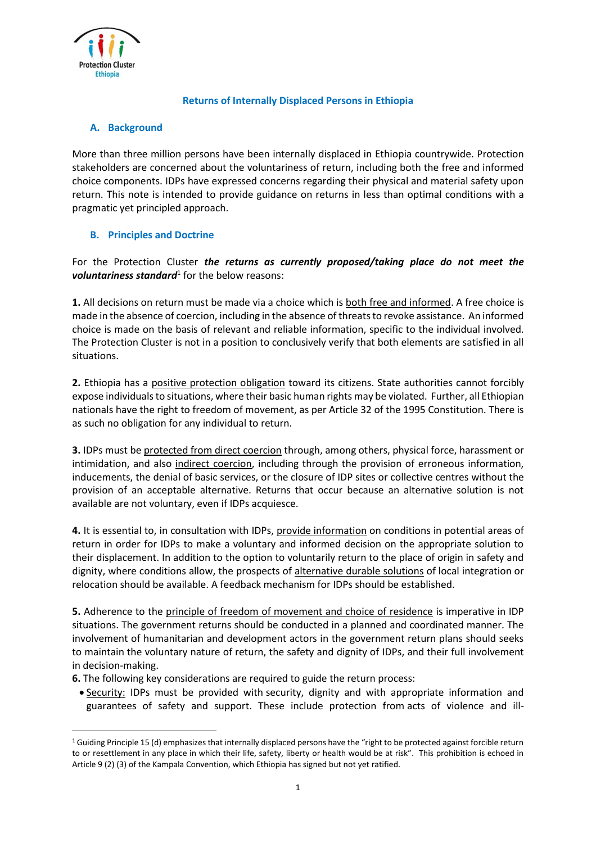

 $\overline{a}$ 

## **Returns of Internally Displaced Persons in Ethiopia**

## **A. Background**

More than three million persons have been internally displaced in Ethiopia countrywide. Protection stakeholders are concerned about the voluntariness of return, including both the free and informed choice components. IDPs have expressed concerns regarding their physical and material safety upon return. This note is intended to provide guidance on returns in less than optimal conditions with a pragmatic yet principled approach.

## **B. Principles and Doctrine**

For the Protection Cluster *the returns as currently proposed/taking place do not meet the voluntariness standard* for the below reasons:

**1.** All decisions on return must be made via a choice which is both free and informed. A free choice is made in the absence of coercion, including in the absence of threats to revoke assistance. An informed choice is made on the basis of relevant and reliable information, specific to the individual involved. The Protection Cluster is not in a position to conclusively verify that both elements are satisfied in all situations.

**2.** Ethiopia has a positive protection obligation toward its citizens. State authorities cannot forcibly expose individuals to situations, where their basic human rights may be violated. Further, all Ethiopian nationals have the right to freedom of movement, as per Article 32 of the 1995 Constitution. There is as such no obligation for any individual to return.

**3.** IDPs must be protected from direct coercion through, among others, physical force, harassment or intimidation, and also indirect coercion, including through the provision of erroneous information, inducements, the denial of basic services, or the closure of IDP sites or collective centres without the provision of an acceptable alternative. Returns that occur because an alternative solution is not available are not voluntary, even if IDPs acquiesce.

**4.** It is essential to, in consultation with IDPs, provide information on conditions in potential areas of return in order for IDPs to make a voluntary and informed decision on the appropriate solution to their displacement. In addition to the option to voluntarily return to the place of origin in safety and dignity, where conditions allow, the prospects of alternative durable solutions of local integration or relocation should be available. A feedback mechanism for IDPs should be established.

**5.** Adherence to the principle of freedom of movement and choice of residence is imperative in IDP situations. The government returns should be conducted in a planned and coordinated manner. The involvement of humanitarian and development actors in the government return plans should seeks to maintain the voluntary nature of return, the safety and dignity of IDPs, and their full involvement in decision-making.

- **6.** The following key considerations are required to guide the return process:
	- **Security:** IDPs must be provided with security, dignity and with appropriate information and guarantees of safety and support. These include protection from acts of violence and ill-

 $1$  Guiding Principle 15 (d) emphasizes that internally displaced persons have the "right to be protected against forcible return to or resettlement in any place in which their life, safety, liberty or health would be at risk". This prohibition is echoed in Article 9 (2) (3) of the Kampala Convention, which Ethiopia has signed but not yet ratified.